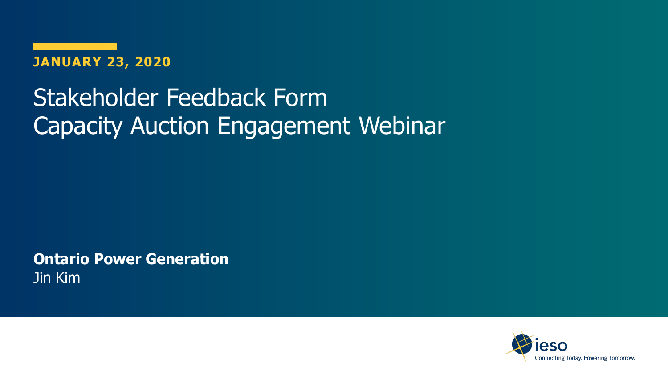

### Stakeholder Feedback Form Capacity Auction Engagement Webinar

**Ontario Power Generation** Jin Kim

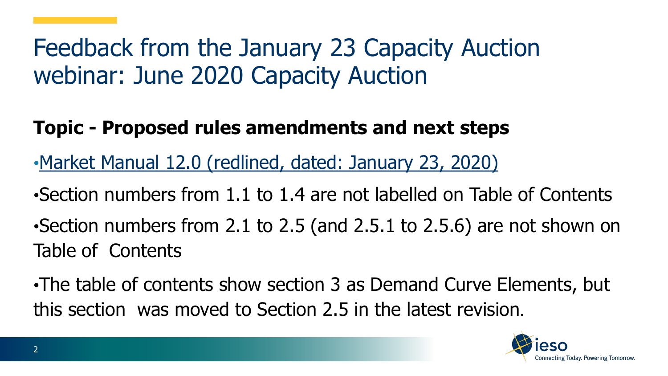#### **Topic - Proposed rules amendments and next steps**

- •[Market Manual 12.0 \(redlined, dated: January 23, 2020\)](http://www.ieso.ca/-/media/Files/IESO/Document-Library/engage/ca/ca-20200123-market-manual-12.pdf?la=en)
- •Section numbers from 1.1 to 1.4 are not labelled on Table of Contents •Section numbers from 2.1 to 2.5 (and 2.5.1 to 2.5.6) are not shown on Table of Contents

•The table of contents show section 3 as Demand Curve Elements, but this section was moved to Section 2.5 in the latest revision.

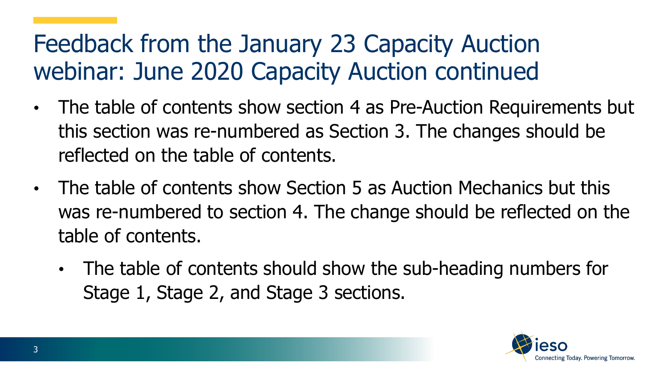- The table of contents show section 4 as Pre-Auction Requirements but this section was re-numbered as Section 3. The changes should be reflected on the table of contents.
- The table of contents show Section 5 as Auction Mechanics but this was re-numbered to section 4. The change should be reflected on the table of contents.
	- The table of contents should show the sub-heading numbers for Stage 1, Stage 2, and Stage 3 sections.

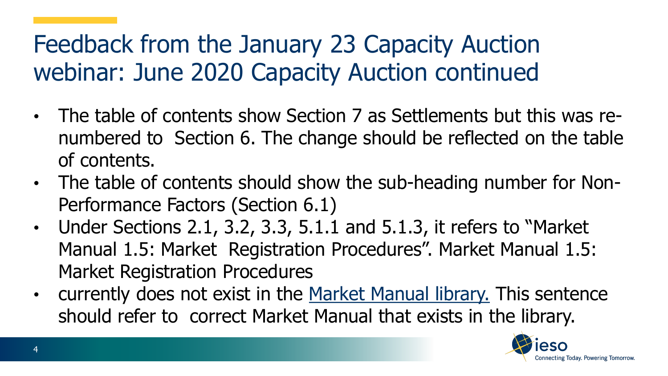- The table of contents show Section 7 as Settlements but this was renumbered to Section 6. The change should be reflected on the table of contents.
- The table of contents should show the sub-heading number for Non-Performance Factors (Section 6.1)
- Under Sections 2.1, 3.2, 3.3, 5.1.1 and 5.1.3, it refers to "Market Manual 1.5: Market Registration Procedures". Market Manual 1.5: Market Registration Procedures
- currently does not exist in the [Market Manual library.](http://www.ieso.ca/en/Sector-Participants/Market-Operations/Market-Rules-And-Manuals-Library) This sentence should refer to correct Market Manual that exists in the library.

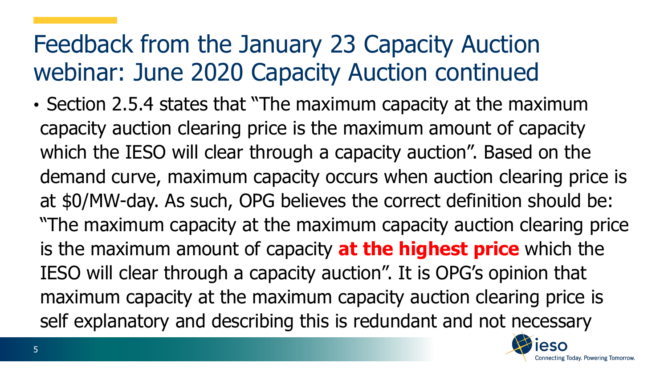• Section 2.5.4 states that "The maximum capacity at the maximum capacity auction clearing price is the maximum amount of capacity which the IESO will clear through a capacity auction". Based on the demand curve, maximum capacity occurs when auction clearing price is at \$0/MW-day. As such, OPG believes the correct definition should be: "The maximum capacity at the maximum capacity auction clearing price is the maximum amount of capacity **at the highest price** which the IESO will clear through a capacity auction". It is OPG's opinion that maximum capacity at the maximum capacity auction clearing price is self explanatory and describing this is redundant and not necessary

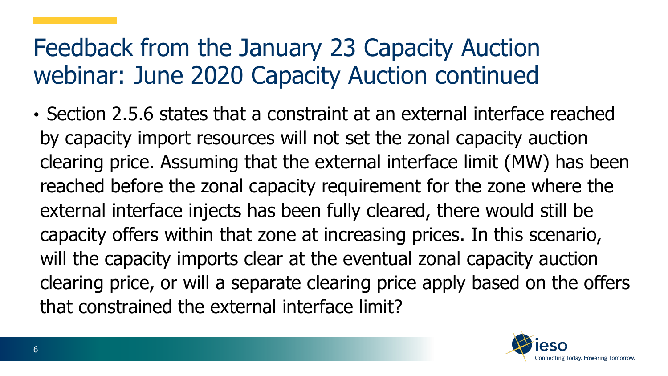• Section 2.5.6 states that a constraint at an external interface reached by capacity import resources will not set the zonal capacity auction clearing price. Assuming that the external interface limit (MW) has been reached before the zonal capacity requirement for the zone where the external interface injects has been fully cleared, there would still be capacity offers within that zone at increasing prices. In this scenario, will the capacity imports clear at the eventual zonal capacity auction clearing price, or will a separate clearing price apply based on the offers that constrained the external interface limit?

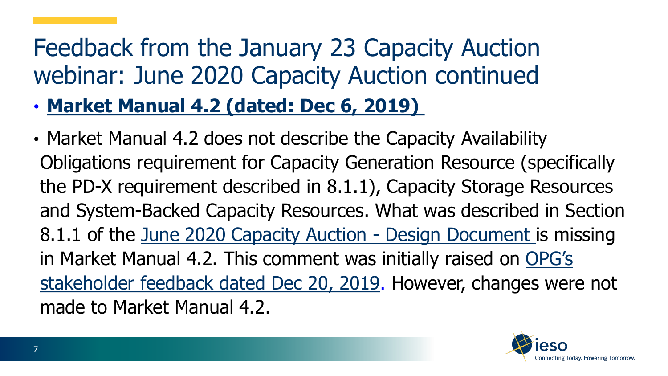- **[Market Manual 4.2 \(dated: Dec 6, 2019\)](http://www.ieso.ca/-/media/Files/IESO/Document-Library/engage/ca/ca-20191206-market-manual-4%2C-d-%2C2-dispatch-data-real-time-energy-operating-reserve-markets.pdf?la=en)**
- Market Manual 4.2 does not describe the Capacity Availability Obligations requirement for Capacity Generation Resource (specifically the PD-X requirement described in 8.1.1), Capacity Storage Resources and System-Backed Capacity Resources. What was described in Section 8.1.1 of the [June 2020 Capacity Auction -](http://ieso.ca/-/media/Files/IESO/Document-Library/engage/ca/ca-20191206-capacity-auction-design.pdf?la=en) Design Document is missing [in Market Manual 4.2. This comment was initially raised on OPG's](http://www.ieso.ca/-/media/Files/IESO/Document-Library/engage/ca/ca-20191220-opg.pdf?la=en)  stakeholder feedback dated Dec 20, 2019. However, changes were not made to Market Manual 4.2.

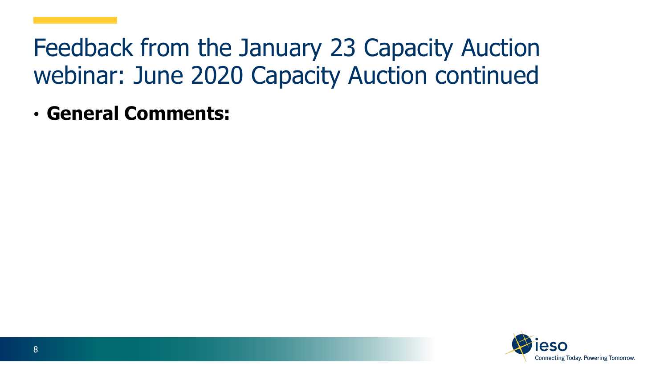• **General Comments:**

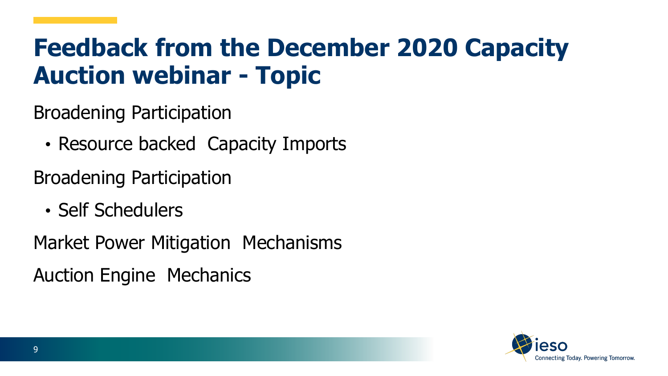### **Feedback from the December 2020 Capacity Auction webinar - Topic**

Broadening Participation

• Resource backed Capacity Imports

Broadening Participation

• Self Schedulers

Market Power Mitigation Mechanisms

Auction Engine Mechanics

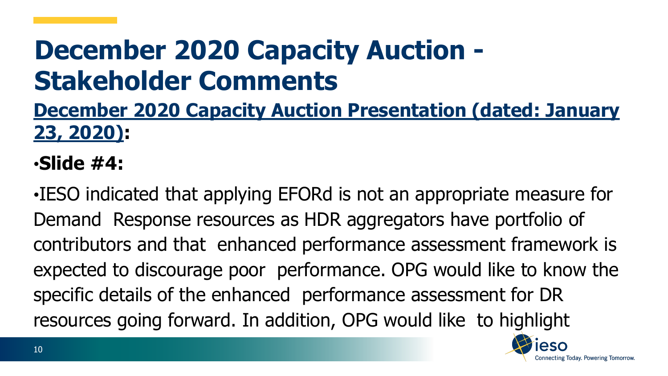# **December 2020 Capacity Auction - Stakeholder Comments**

#### **[December 2020 Capacity Auction Presentation \(dated: January](http://www.ieso.ca/-/media/Files/IESO/Document-Library/engage/ca/ca-20200123-december-2020-presentation.pdf?la=en) 23, 2020):**

•**Slide #4:**

•IESO indicated that applying EFORd is not an appropriate measure for Demand Response resources as HDR aggregators have portfolio of contributors and that enhanced performance assessment framework is expected to discourage poor performance. OPG would like to know the specific details of the enhanced performance assessment for DR resources going forward. In addition, OPG would like to highlight

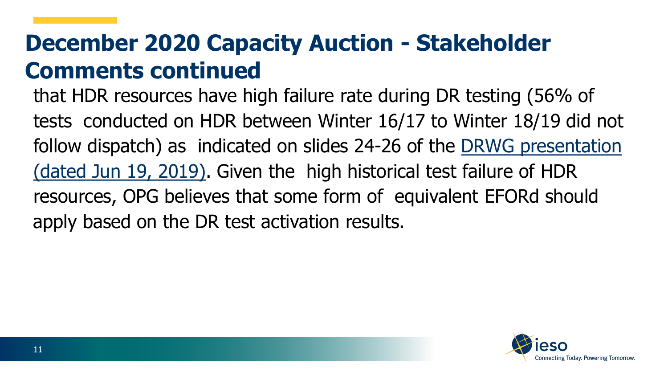#### **December 2020 Capacity Auction - Stakeholder Comments continued**

that HDR resources have high failure rate during DR testing (56% of tests conducted on HDR between Winter 16/17 to Winter 18/19 did not [follow dispatch\) as indicated on slides 24-26 of the DRWG presentation](http://www.ieso.ca/-/media/Files/IESO/Document-Library/working-group/demand-response/drwg-20190619-presentation.pdf?la=en) (dated Jun 19, 2019). Given the high historical test failure of HDR resources, OPG believes that some form of equivalent EFORd should apply based on the DR test activation results.

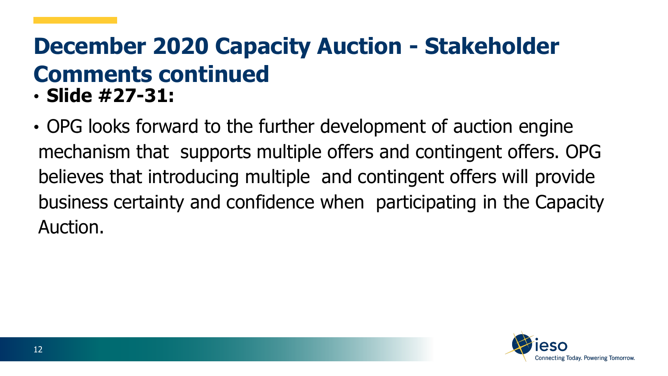#### **December 2020 Capacity Auction - Stakeholder Comments continued**  • **Slide #27-31:**

• OPG looks forward to the further development of auction engine mechanism that supports multiple offers and contingent offers. OPG believes that introducing multiple and contingent offers will provide business certainty and confidence when participating in the Capacity Auction.